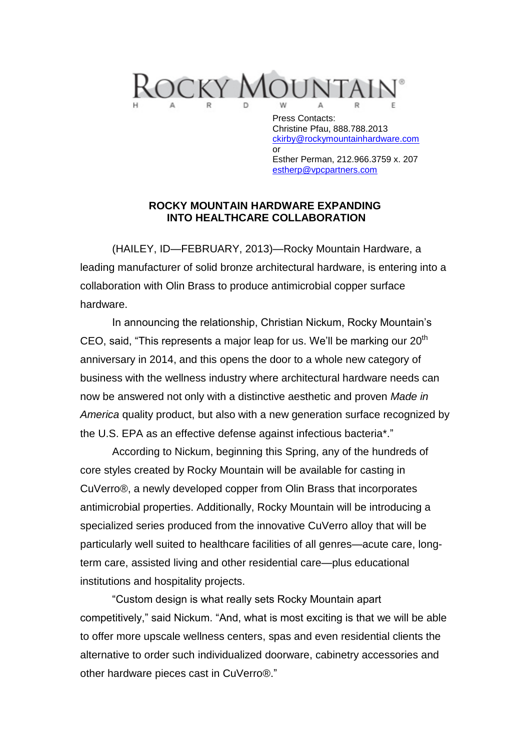

Press Contacts: Christine Pfau, 888.788.2013 [ckirby@rockymountainhardware.com](mailto:ckirby@rockymountainhardware.com) or Esther Perman, 212.966.3759 x. 207 [estherp@vpcpartners.com](mailto:estherp@vpcpartners.com)

## **ROCKY MOUNTAIN HARDWARE EXPANDING INTO HEALTHCARE COLLABORATION**

(HAILEY, ID—FEBRUARY, 2013)—Rocky Mountain Hardware, a leading manufacturer of solid bronze architectural hardware, is entering into a collaboration with Olin Brass to produce antimicrobial copper surface hardware.

In announcing the relationship, Christian Nickum, Rocky Mountain's CEO, said, "This represents a major leap for us. We'll be marking our  $20<sup>th</sup>$ anniversary in 2014, and this opens the door to a whole new category of business with the wellness industry where architectural hardware needs can now be answered not only with a distinctive aesthetic and proven *Made in America* quality product, but also with a new generation surface recognized by the U.S. EPA as an effective defense against infectious bacteria\*."

According to Nickum, beginning this Spring, any of the hundreds of core styles created by Rocky Mountain will be available for casting in CuVerro®, a newly developed copper from Olin Brass that incorporates antimicrobial properties. Additionally, Rocky Mountain will be introducing a specialized series produced from the innovative CuVerro alloy that will be particularly well suited to healthcare facilities of all genres—acute care, longterm care, assisted living and other residential care—plus educational institutions and hospitality projects.

"Custom design is what really sets Rocky Mountain apart competitively," said Nickum. "And, what is most exciting is that we will be able to offer more upscale wellness centers, spas and even residential clients the alternative to order such individualized doorware, cabinetry accessories and other hardware pieces cast in CuVerro®."